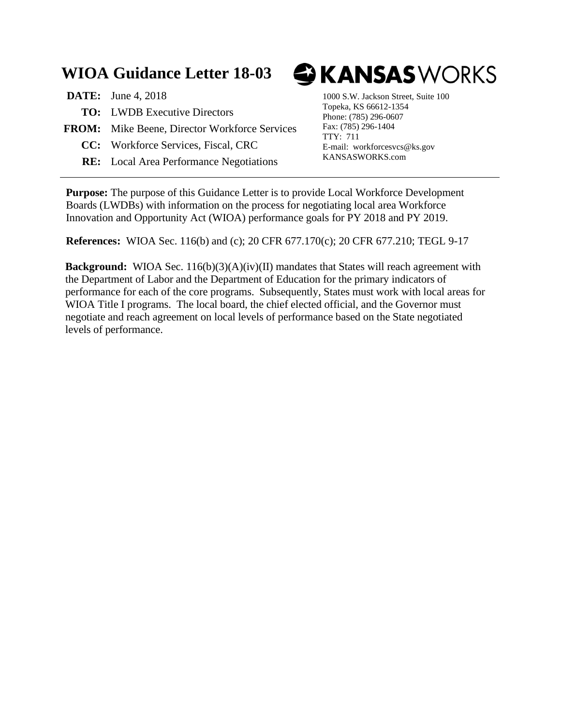# **WIOA Guidance Letter 18-03**

| <b>DATE:</b> June 4, 2018                            |
|------------------------------------------------------|
| <b>TO:</b> LWDB Executive Directors                  |
| <b>FROM:</b> Mike Beene, Director Workforce Services |
| <b>CC:</b> Workforce Services, Fiscal, CRC           |
|                                                      |

**RE:** Local Area Performance Negotiations

# **GKANSAS**WORKS

1000 S.W. Jackson Street, Suite 100 Topeka, KS 66612-1354 Phone: (785) 296-0607 Fax: (785) 296-1404 TTY: 711 E-mail: workforcesvcs@ks.gov KANSASWORKS.com

**Purpose:** The purpose of this Guidance Letter is to provide Local Workforce Development Boards (LWDBs) with information on the process for negotiating local area Workforce Innovation and Opportunity Act (WIOA) performance goals for PY 2018 and PY 2019.

**References:** WIOA Sec. 116(b) and (c); 20 CFR 677.170(c); 20 CFR 677.210; TEGL 9-17

**Background:** WIOA Sec. 116(b)(3)(A)(iv)(II) mandates that States will reach agreement with the Department of Labor and the Department of Education for the primary indicators of performance for each of the core programs. Subsequently, States must work with local areas for WIOA Title I programs. The local board, the chief elected official, and the Governor must negotiate and reach agreement on local levels of performance based on the State negotiated levels of performance.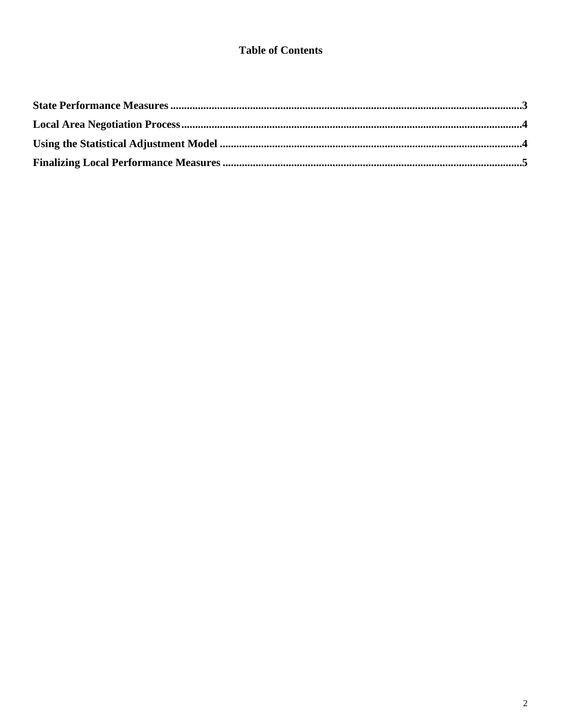#### **Table of Contents**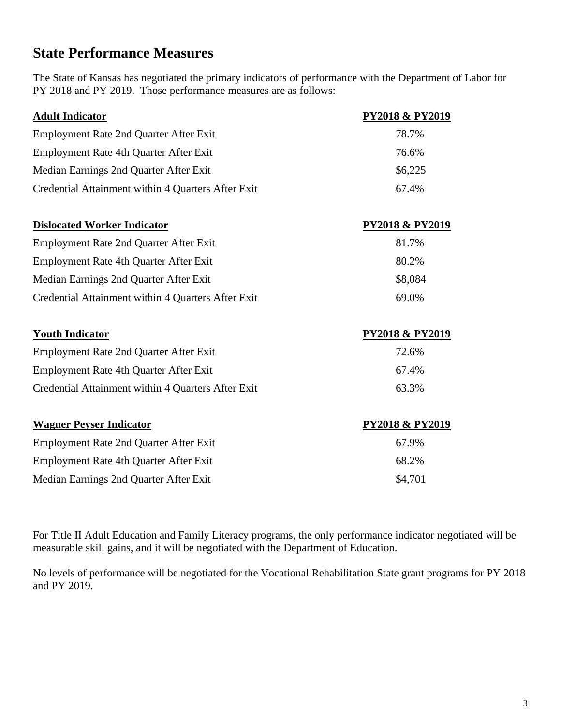#### **State Performance Measures**

The State of Kansas has negotiated the primary indicators of performance with the Department of Labor for PY 2018 and PY 2019. Those performance measures are as follows:

| <b>Adult Indicator</b>                             | <b>PY2018 &amp; PY2019</b> |
|----------------------------------------------------|----------------------------|
| <b>Employment Rate 2nd Quarter After Exit</b>      | 78.7%                      |
| Employment Rate 4th Quarter After Exit             | 76.6%                      |
| Median Earnings 2nd Quarter After Exit             | \$6,225                    |
| Credential Attainment within 4 Quarters After Exit | 67.4%                      |
| <b>Dislocated Worker Indicator</b>                 | <b>PY2018 &amp; PY2019</b> |
| <b>Employment Rate 2nd Quarter After Exit</b>      | 81.7%                      |
| Employment Rate 4th Quarter After Exit             | 80.2%                      |
| Median Earnings 2nd Quarter After Exit             | \$8,084                    |
| Credential Attainment within 4 Quarters After Exit | 69.0%                      |
| <b>Youth Indicator</b>                             | <b>PY2018 &amp; PY2019</b> |
| <b>Employment Rate 2nd Quarter After Exit</b>      | 72.6%                      |
| <b>Employment Rate 4th Quarter After Exit</b>      | 67.4%                      |
| Credential Attainment within 4 Quarters After Exit | 63.3%                      |
| <b>Wagner Peyser Indicator</b>                     | <b>PY2018 &amp; PY2019</b> |
| <b>Employment Rate 2nd Quarter After Exit</b>      | 67.9%                      |
| Employment Rate 4th Quarter After Exit             | 68.2%                      |
| Median Earnings 2nd Quarter After Exit             | \$4,701                    |

For Title II Adult Education and Family Literacy programs, the only performance indicator negotiated will be measurable skill gains, and it will be negotiated with the Department of Education.

No levels of performance will be negotiated for the Vocational Rehabilitation State grant programs for PY 2018 and PY 2019.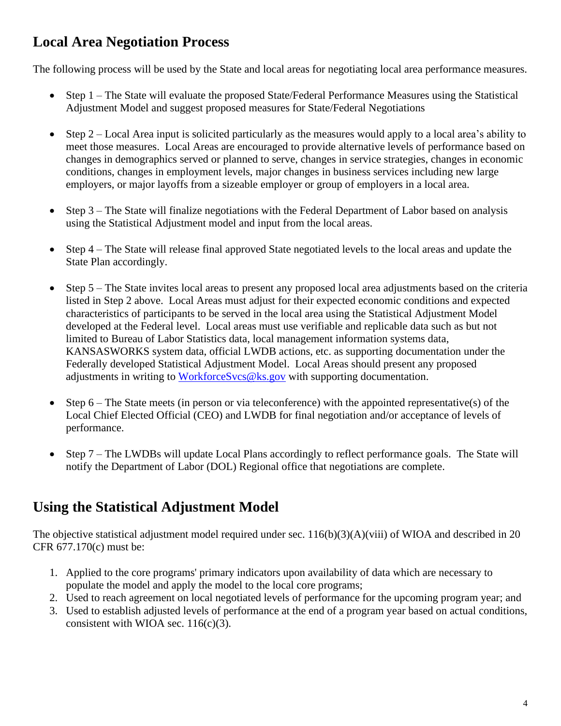## **Local Area Negotiation Process**

The following process will be used by the State and local areas for negotiating local area performance measures.

- Step 1 The State will evaluate the proposed State/Federal Performance Measures using the Statistical Adjustment Model and suggest proposed measures for State/Federal Negotiations
- Step 2 Local Area input is solicited particularly as the measures would apply to a local area's ability to meet those measures. Local Areas are encouraged to provide alternative levels of performance based on changes in demographics served or planned to serve, changes in service strategies, changes in economic conditions, changes in employment levels, major changes in business services including new large employers, or major layoffs from a sizeable employer or group of employers in a local area.
- Step 3 The State will finalize negotiations with the Federal Department of Labor based on analysis using the Statistical Adjustment model and input from the local areas.
- Step 4 The State will release final approved State negotiated levels to the local areas and update the State Plan accordingly.
- Step 5 The State invites local areas to present any proposed local area adjustments based on the criteria listed in Step 2 above. Local Areas must adjust for their expected economic conditions and expected characteristics of participants to be served in the local area using the Statistical Adjustment Model developed at the Federal level. Local areas must use verifiable and replicable data such as but not limited to Bureau of Labor Statistics data, local management information systems data, KANSASWORKS system data, official LWDB actions, etc. as supporting documentation under the Federally developed Statistical Adjustment Model. Local Areas should present any proposed adjustments in writing to [WorkforceSvcs@ks.gov](mailto:WorkforceSvcs@ks.gov) with supporting documentation.
- Step  $6$  The State meets (in person or via teleconference) with the appointed representative(s) of the Local Chief Elected Official (CEO) and LWDB for final negotiation and/or acceptance of levels of performance.
- Step 7 The LWDBs will update Local Plans accordingly to reflect performance goals. The State will notify the Department of Labor (DOL) Regional office that negotiations are complete.

## **Using the Statistical Adjustment Model**

The objective statistical adjustment model required under sec. 116(b)(3)(A)(viii) of WIOA and described in 20 CFR 677.170(c) must be:

- 1. Applied to the core programs' primary indicators upon availability of data which are necessary to populate the model and apply the model to the local core programs;
- 2. Used to reach agreement on local negotiated levels of performance for the upcoming program year; and
- 3. Used to establish adjusted levels of performance at the end of a program year based on actual conditions, consistent with WIOA sec.  $116(c)(3)$ .